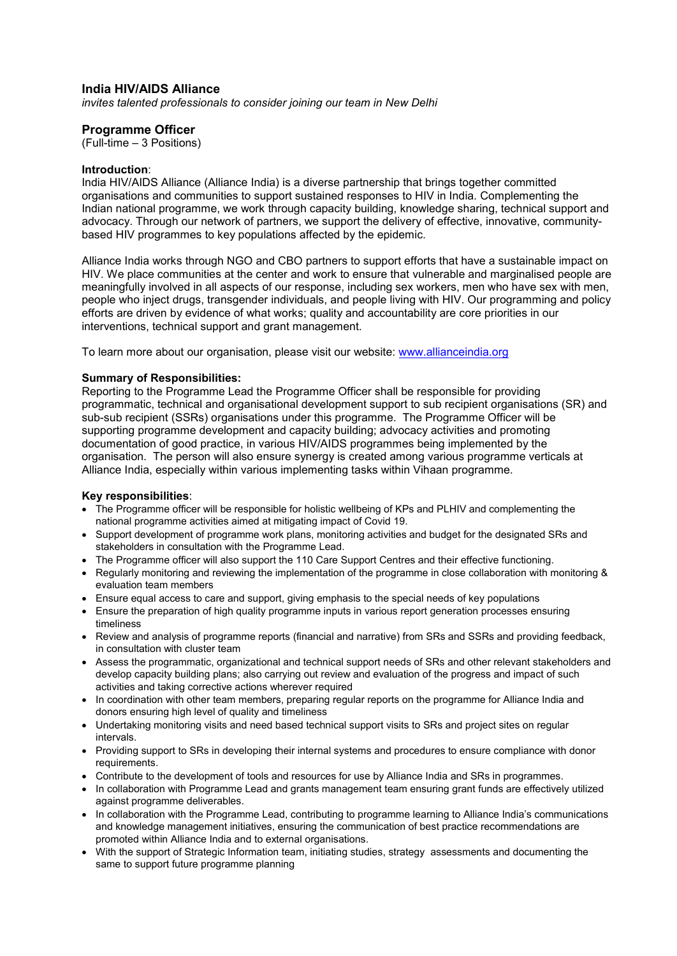## **India HIV/AIDS Alliance**

*invites talented professionals to consider joining our team in New Delhi* 

## **Programme Officer**

(Full-time – 3 Positions)

### **Introduction**:

India HIV/AIDS Alliance (Alliance India) is a diverse partnership that brings together committed organisations and communities to support sustained responses to HIV in India. Complementing the Indian national programme, we work through capacity building, knowledge sharing, technical support and advocacy. Through our network of partners, we support the delivery of effective, innovative, communitybased HIV programmes to key populations affected by the epidemic.

Alliance India works through NGO and CBO partners to support efforts that have a sustainable impact on HIV. We place communities at the center and work to ensure that vulnerable and marginalised people are meaningfully involved in all aspects of our response, including sex workers, men who have sex with men, people who inject drugs, transgender individuals, and people living with HIV. Our programming and policy efforts are driven by evidence of what works; quality and accountability are core priorities in our interventions, technical support and grant management.

To learn more about our organisation, please visit our website: [www.allianceindia.org](http://www.allianceindia.org/) 

### **Summary of Responsibilities:**

Reporting to the Programme Lead the Programme Officer shall be responsible for providing programmatic, technical and organisational development support to sub recipient organisations (SR) and sub-sub recipient (SSRs) organisations under this programme. The Programme Officer will be supporting programme development and capacity building; advocacy activities and promoting documentation of good practice, in various HIV/AIDS programmes being implemented by the organisation. The person will also ensure synergy is created among various programme verticals at Alliance India, especially within various implementing tasks within Vihaan programme.

## **Key responsibilities**:

- The Programme officer will be responsible for holistic wellbeing of KPs and PLHIV and complementing the national programme activities aimed at mitigating impact of Covid 19.
- Support development of programme work plans, monitoring activities and budget for the designated SRs and stakeholders in consultation with the Programme Lead.
- The Programme officer will also support the 110 Care Support Centres and their effective functioning.
- Regularly monitoring and reviewing the implementation of the programme in close collaboration with monitoring & evaluation team members
- Ensure equal access to care and support, giving emphasis to the special needs of key populations
- Ensure the preparation of high quality programme inputs in various report generation processes ensuring timeliness
- Review and analysis of programme reports (financial and narrative) from SRs and SSRs and providing feedback, in consultation with cluster team
- Assess the programmatic, organizational and technical support needs of SRs and other relevant stakeholders and develop capacity building plans; also carrying out review and evaluation of the progress and impact of such activities and taking corrective actions wherever required
- In coordination with other team members, preparing regular reports on the programme for Alliance India and donors ensuring high level of quality and timeliness
- Undertaking monitoring visits and need based technical support visits to SRs and project sites on regular intervals.
- Providing support to SRs in developing their internal systems and procedures to ensure compliance with donor requirements.
- Contribute to the development of tools and resources for use by Alliance India and SRs in programmes.
- In collaboration with Programme Lead and grants management team ensuring grant funds are effectively utilized against programme deliverables.
- In collaboration with the Programme Lead, contributing to programme learning to Alliance India's communications and knowledge management initiatives, ensuring the communication of best practice recommendations are promoted within Alliance India and to external organisations.
- With the support of Strategic Information team, initiating studies, strategy assessments and documenting the same to support future programme planning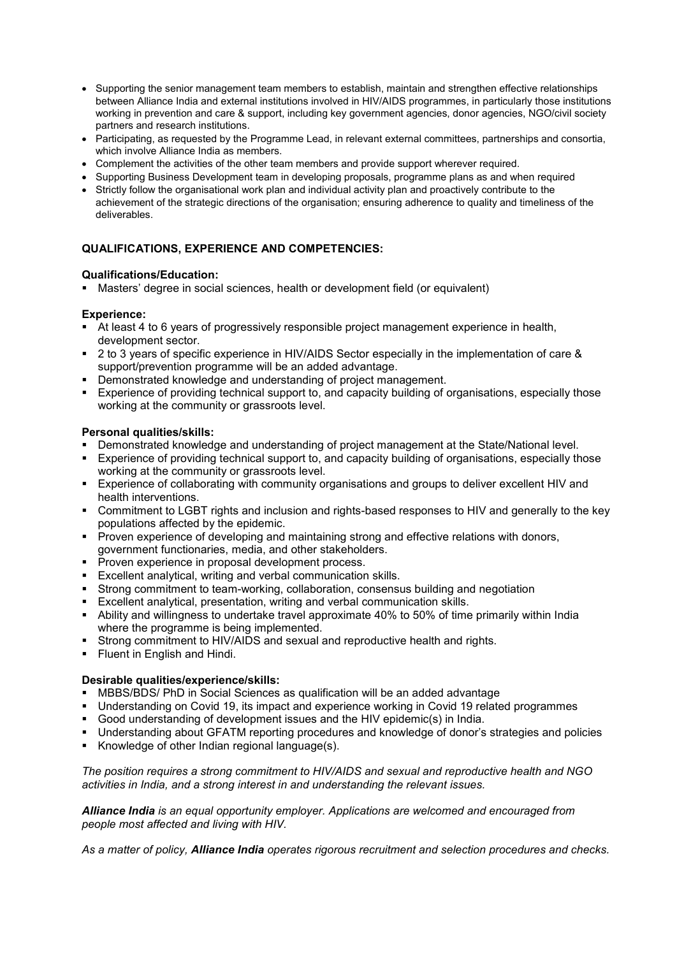- Supporting the senior management team members to establish, maintain and strengthen effective relationships between Alliance India and external institutions involved in HIV/AIDS programmes, in particularly those institutions working in prevention and care & support, including key government agencies, donor agencies, NGO/civil society partners and research institutions.
- Participating, as requested by the Programme Lead, in relevant external committees, partnerships and consortia, which involve Alliance India as members.
- Complement the activities of the other team members and provide support wherever required.
- Supporting Business Development team in developing proposals, programme plans as and when required
- Strictly follow the organisational work plan and individual activity plan and proactively contribute to the achievement of the strategic directions of the organisation; ensuring adherence to quality and timeliness of the deliverables.

# **QUALIFICATIONS, EXPERIENCE AND COMPETENCIES:**

### **Qualifications/Education:**

Masters' degree in social sciences, health or development field (or equivalent)

## **Experience:**

- At least 4 to 6 years of progressively responsible project management experience in health, development sector.
- 2 to 3 years of specific experience in HIV/AIDS Sector especially in the implementation of care & support/prevention programme will be an added advantage.
- Demonstrated knowledge and understanding of project management.
- Experience of providing technical support to, and capacity building of organisations, especially those working at the community or grassroots level.

### **Personal qualities/skills:**

- **Demonstrated knowledge and understanding of project management at the State/National level.**
- Experience of providing technical support to, and capacity building of organisations, especially those working at the community or grassroots level.
- Experience of collaborating with community organisations and groups to deliver excellent HIV and health interventions.
- Commitment to LGBT rights and inclusion and rights-based responses to HIV and generally to the key populations affected by the epidemic.
- **Proven experience of developing and maintaining strong and effective relations with donors,** government functionaries, media, and other stakeholders.
- **Proven experience in proposal development process.**
- Excellent analytical, writing and verbal communication skills.
- Strong commitment to team-working, collaboration, consensus building and negotiation
- Excellent analytical, presentation, writing and verbal communication skills.
- Ability and willingness to undertake travel approximate 40% to 50% of time primarily within India where the programme is being implemented.
- Strong commitment to HIV/AIDS and sexual and reproductive health and rights.
- **Fluent in English and Hindi.**

## **Desirable qualities/experience/skills:**

- MBBS/BDS/ PhD in Social Sciences as qualification will be an added advantage
- Understanding on Covid 19, its impact and experience working in Covid 19 related programmes
- Good understanding of development issues and the HIV epidemic(s) in India.
- Understanding about GFATM reporting procedures and knowledge of donor's strategies and policies
- Knowledge of other Indian regional language(s).

*The position requires a strong commitment to HIV/AIDS and sexual and reproductive health and NGO activities in India, and a strong interest in and understanding the relevant issues.*

*Alliance India is an equal opportunity employer. Applications are welcomed and encouraged from people most affected and living with HIV.* 

*As a matter of policy, Alliance India operates rigorous recruitment and selection procedures and checks.*